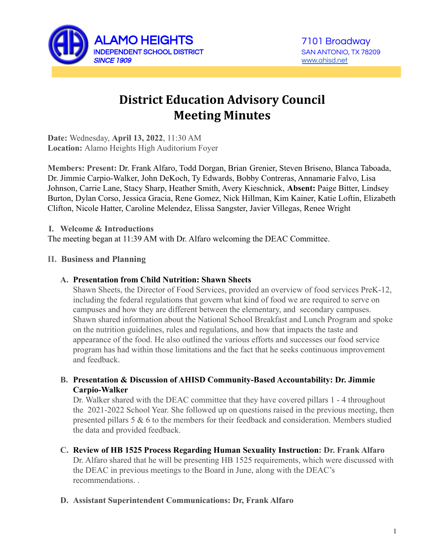

# **District Education Advisory Council Meeting Minutes**

**Date:** Wednesday, **April 13, 2022**, 11:30 AM **Location:** Alamo Heights High Auditorium Foyer

**Members: Present:** Dr. Frank Alfaro, Todd Dorgan, Brian Grenier, Steven Briseno, Blanca Taboada, Dr. Jimmie Carpio-Walker, John DeKoch, Ty Edwards, Bobby Contreras, Annamarie Falvo, Lisa Johnson, Carrie Lane, Stacy Sharp, Heather Smith, Avery Kieschnick, **Absent:** Paige Bitter, Lindsey Burton, Dylan Corso, Jessica Gracia, Rene Gomez, Nick Hillman, Kim Kainer, Katie Loftin, Elizabeth Clifton, Nicole Hatter, Caroline Melendez, Elissa Sangster, Javier Villegas, Renee Wright

**I. Welcome & Introductions**

The meeting began at 11:39 AM with Dr. Alfaro welcoming the DEAC Committee.

#### **II. Business and Planning**

#### **A. Presentation from Child Nutrition: Shawn Sheets**

Shawn Sheets, the Director of Food Services, provided an overview of food services PreK-12, including the federal regulations that govern what kind of food we are required to serve on campuses and how they are different between the elementary, and secondary campuses. Shawn shared information about the National School Breakfast and Lunch Program and spoke on the nutrition guidelines, rules and regulations, and how that impacts the taste and appearance of the food. He also outlined the various efforts and successes our food service program has had within those limitations and the fact that he seeks continuous improvement and feedback.

### **B. Presentation & Discussion of AHISD Community-Based Accountability: Dr. Jimmie Carpio-Walker**

Dr. Walker shared with the DEAC committee that they have covered pillars 1 - 4 throughout the 2021-2022 School Year. She followed up on questions raised in the previous meeting, then presented pillars 5  $\&$  6 to the members for their feedback and consideration. Members studied the data and provided feedback.

**C. Review of HB 1525 Process Regarding Human Sexuality Instruction: Dr. Frank Alfaro** Dr. Alfaro shared that he will be presenting HB 1525 requirements, which were discussed with the DEAC in previous meetings to the Board in June, along with the DEAC's

recommendations. .

### **D. Assistant Superintendent Communications: Dr, Frank Alfaro**